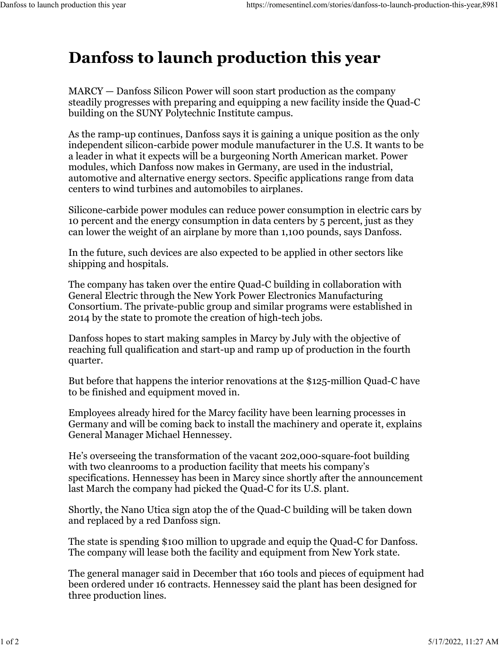## **Danfoss to launch production this year**

MARCY — Danfoss Silicon Power will soon start production as the company steadily progresses with preparing and equipping a new facility inside the Quad-C building on the SUNY Polytechnic Institute campus.

As the ramp-up continues, Danfoss says it is gaining a unique position as the only independent silicon-carbide power module manufacturer in the U.S. It wants to be a leader in what it expects will be a burgeoning North American market. Power modules, which Danfoss now makes in Germany, are used in the industrial, automotive and alternative energy sectors. Specific applications range from data centers to wind turbines and automobiles to airplanes.

Silicone-carbide power modules can reduce power consumption in electric cars by 10 percent and the energy consumption in data centers by 5 percent, just as they can lower the weight of an airplane by more than 1,100 pounds, says Danfoss.

In the future, such devices are also expected to be applied in other sectors like shipping and hospitals.

The company has taken over the entire Quad-C building in collaboration with General Electric through the New York Power Electronics Manufacturing Consortium. The private-public group and similar programs were established in 2014 by the state to promote the creation of high-tech jobs.

Danfoss hopes to start making samples in Marcy by July with the objective of reaching full qualification and start-up and ramp up of production in the fourth quarter.

But before that happens the interior renovations at the \$125-million Quad-C have to be finished and equipment moved in.

Employees already hired for the Marcy facility have been learning processes in Germany and will be coming back to install the machinery and operate it, explains General Manager Michael Hennessey.

He's overseeing the transformation of the vacant 202,000-square-foot building with two cleanrooms to a production facility that meets his company's specifications. Hennessey has been in Marcy since shortly after the announcement last March the company had picked the Quad-C for its U.S. plant.

Shortly, the Nano Utica sign atop the of the Quad-C building will be taken down and replaced by a red Danfoss sign.

The state is spending \$100 million to upgrade and equip the Quad-C for Danfoss. The company will lease both the facility and equipment from New York state.

The general manager said in December that 160 tools and pieces of equipment had been ordered under 16 contracts. Hennessey said the plant has been designed for three production lines.